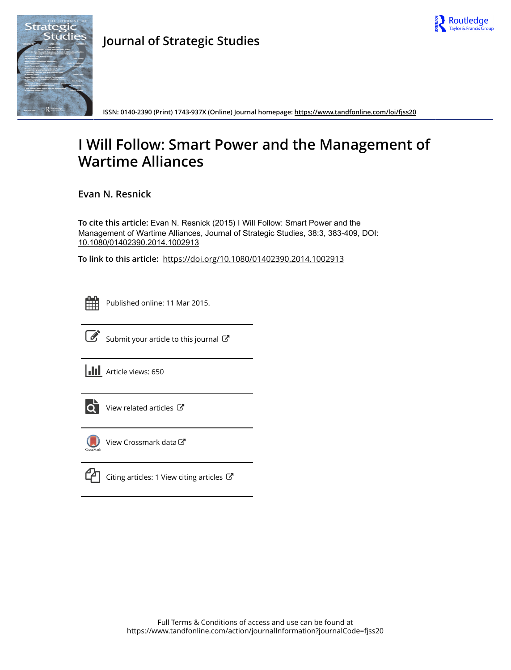



**ISSN: 0140-2390 (Print) 1743-937X (Online) Journal homepage: <https://www.tandfonline.com/loi/fjss20>**

## **I Will Follow: Smart Power and the Management of Wartime Alliances**

**Evan N. Resnick**

**To cite this article:** Evan N. Resnick (2015) I Will Follow: Smart Power and the Management of Wartime Alliances, Journal of Strategic Studies, 38:3, 383-409, DOI: [10.1080/01402390.2014.1002913](https://www.tandfonline.com/action/showCitFormats?doi=10.1080/01402390.2014.1002913)

**To link to this article:** <https://doi.org/10.1080/01402390.2014.1002913>

|  | - |  |
|--|---|--|
|  |   |  |
|  |   |  |
|  |   |  |

Published online: 11 Mar 2015.



 $\overrightarrow{S}$  [Submit your article to this journal](https://www.tandfonline.com/action/authorSubmission?journalCode=fjss20&show=instructions)  $\overrightarrow{S}$ 

**III** Article views: 650



 $\overrightarrow{Q}$  [View related articles](https://www.tandfonline.com/doi/mlt/10.1080/01402390.2014.1002913)  $\overrightarrow{C}$ 



 $\bigcirc$  [View Crossmark data](http://crossmark.crossref.org/dialog/?doi=10.1080/01402390.2014.1002913&domain=pdf&date_stamp=2015-03-11) $\mathbb{Z}$ 



 $\mathbb{C}$  [Citing articles: 1 View citing articles](https://www.tandfonline.com/doi/citedby/10.1080/01402390.2014.1002913#tabModule)  $\mathbb{C}$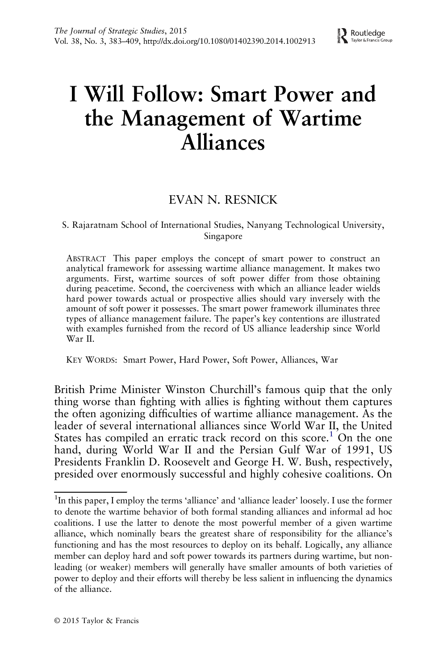# I Will Follow: Smart Power and the Management of Wartime Alliances

## EVAN N. RESNICK

#### S. Rajaratnam School of International Studies, Nanyang Technological University, Singapore

ABSTRACT This paper employs the concept of smart power to construct an analytical framework for assessing wartime alliance management. It makes two arguments. First, wartime sources of soft power differ from those obtaining during peacetime. Second, the coerciveness with which an alliance leader wields hard power towards actual or prospective allies should vary inversely with the amount of soft power it possesses. The smart power framework illuminates three types of alliance management failure. The paper's key contentions are illustrated with examples furnished from the record of US alliance leadership since World War II.

KEY WORDS: Smart Power, Hard Power, Soft Power, Alliances, War

British Prime Minister Winston Churchill's famous quip that the only thing worse than fighting with allies is fighting without them captures the often agonizing difficulties of wartime alliance management. As the leader of several international alliances since World War II, the United States has compiled an erratic track record on this score.<sup>1</sup> On the one hand, during World War II and the Persian Gulf War of 1991, US Presidents Franklin D. Roosevelt and George H. W. Bush, respectively, presided over enormously successful and highly cohesive coalitions. On

<sup>&</sup>lt;sup>1</sup>In this paper, I employ the terms 'alliance' and 'alliance leader' loosely. I use the former to denote the wartime behavior of both formal standing alliances and informal ad hoc coalitions. I use the latter to denote the most powerful member of a given wartime alliance, which nominally bears the greatest share of responsibility for the alliance's functioning and has the most resources to deploy on its behalf. Logically, any alliance member can deploy hard and soft power towards its partners during wartime, but nonleading (or weaker) members will generally have smaller amounts of both varieties of power to deploy and their efforts will thereby be less salient in influencing the dynamics of the alliance.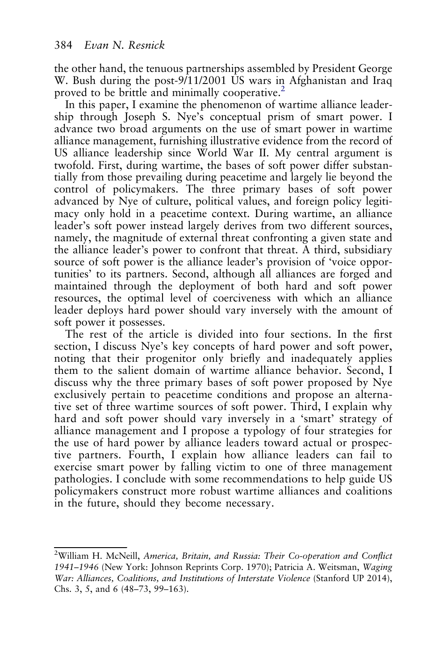the other hand, the tenuous partnerships assembled by President George W. Bush during the post-9/11/2001 US wars in Afghanistan and Iraq proved to be brittle and minimally cooperative.<sup>2</sup>

In this paper, I examine the phenomenon of wartime alliance leadership through Joseph S. Nye's conceptual prism of smart power. I advance two broad arguments on the use of smart power in wartime alliance management, furnishing illustrative evidence from the record of US alliance leadership since World War II. My central argument is twofold. First, during wartime, the bases of soft power differ substantially from those prevailing during peacetime and largely lie beyond the control of policymakers. The three primary bases of soft power advanced by Nye of culture, political values, and foreign policy legitimacy only hold in a peacetime context. During wartime, an alliance leader's soft power instead largely derives from two different sources, namely, the magnitude of external threat confronting a given state and the alliance leader's power to confront that threat. A third, subsidiary source of soft power is the alliance leader's provision of 'voice opportunities' to its partners. Second, although all alliances are forged and maintained through the deployment of both hard and soft power resources, the optimal level of coerciveness with which an alliance leader deploys hard power should vary inversely with the amount of soft power it possesses.

The rest of the article is divided into four sections. In the first section, I discuss Nye's key concepts of hard power and soft power, noting that their progenitor only briefly and inadequately applies them to the salient domain of wartime alliance behavior. Second, I discuss why the three primary bases of soft power proposed by Nye exclusively pertain to peacetime conditions and propose an alternative set of three wartime sources of soft power. Third, I explain why hard and soft power should vary inversely in a 'smart' strategy of alliance management and I propose a typology of four strategies for the use of hard power by alliance leaders toward actual or prospective partners. Fourth, I explain how alliance leaders can fail to exercise smart power by falling victim to one of three management pathologies. I conclude with some recommendations to help guide US policymakers construct more robust wartime alliances and coalitions in the future, should they become necessary.

<sup>&</sup>lt;sup>2</sup>William H. McNeill, *America, Britain, and Russia: Their Co-operation and Conflict* 1941–1946 (New York: Johnson Reprints Corp. 1970); Patricia A. Weitsman, Waging War: Alliances, Coalitions, and Institutions of Interstate Violence (Stanford UP 2014), Chs. 3, 5, and 6 (48–73, 99–163).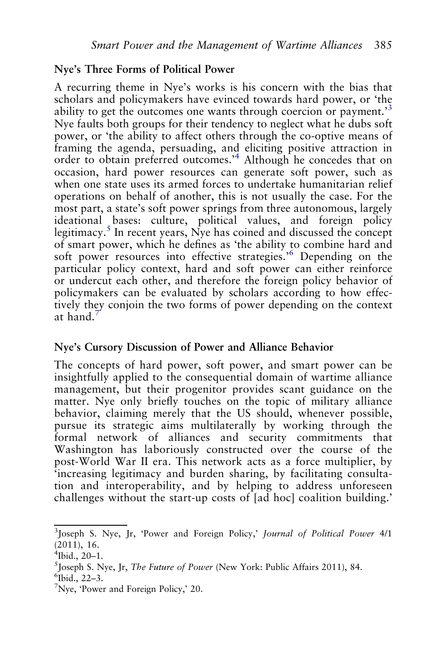### Nye's Three Forms of Political Power

A recurring theme in Nye's works is his concern with the bias that scholars and policymakers have evinced towards hard power, or 'the ability to get the outcomes one wants through coercion or payment.<sup>3</sup> Nye faults both groups for their tendency to neglect what he dubs soft power, or 'the ability to affect others through the co-optive means of framing the agenda, persuading, and eliciting positive attraction in order to obtain preferred outcomes.' <sup>4</sup> Although he concedes that on occasion, hard power resources can generate soft power, such as when one state uses its armed forces to undertake humanitarian relief operations on behalf of another, this is not usually the case. For the most part, a state's soft power springs from three autonomous, largely ideational bases: culture, political values, and foreign policy legitimacy.<sup>5</sup> In recent years, Nye has coined and discussed the concept of smart power, which he defines as 'the ability to combine hard and soft power resources into effective strategies.<sup>56</sup> Depending on the particular policy context, hard and soft power can either reinforce or undercut each other, and therefore the foreign policy behavior of policymakers can be evaluated by scholars according to how effectively they conjoin the two forms of power depending on the context at hand.<sup>7</sup>

## Nye's Cursory Discussion of Power and Alliance Behavior

The concepts of hard power, soft power, and smart power can be insightfully applied to the consequential domain of wartime alliance management, but their progenitor provides scant guidance on the matter. Nye only briefly touches on the topic of military alliance behavior, claiming merely that the US should, whenever possible, pursue its strategic aims multilaterally by working through the formal network of alliances and security commitments that Washington has laboriously constructed over the course of the post-World War II era. This network acts as a force multiplier, by 'increasing legitimacy and burden sharing, by facilitating consultation and interoperability, and by helping to address unforeseen challenges without the start-up costs of [ad hoc] coalition building.'

<sup>&</sup>lt;sup>3</sup>Joseph S. Nye, Jr, 'Power and Foreign Policy,' Journal of Political Power 4/1 (2011), 16.

 $^{4}$ Ibid., 20–1.

 $<sup>5</sup>$  [oseph S. Nye, Jr, *The Future of Power* (New York: Public Affairs 2011), 84.</sup>

 $6$ Ibid., 22-3.

 $Nye$ , 'Power and Foreign Policy,' 20.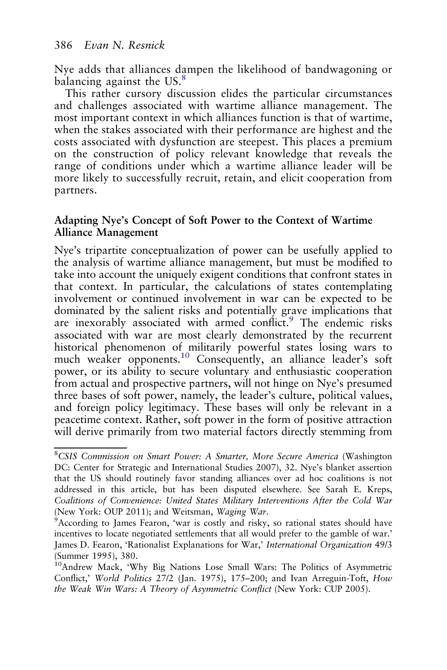Nye adds that alliances dampen the likelihood of bandwagoning or balancing against the  $US^8$ 

This rather cursory discussion elides the particular circumstances and challenges associated with wartime alliance management. The most important context in which alliances function is that of wartime, when the stakes associated with their performance are highest and the costs associated with dysfunction are steepest. This places a premium on the construction of policy relevant knowledge that reveals the range of conditions under which a wartime alliance leader will be more likely to successfully recruit, retain, and elicit cooperation from partners.

#### Adapting Nye's Concept of Soft Power to the Context of Wartime Alliance Management

Nye's tripartite conceptualization of power can be usefully applied to the analysis of wartime alliance management, but must be modified to take into account the uniquely exigent conditions that confront states in that context. In particular, the calculations of states contemplating involvement or continued involvement in war can be expected to be dominated by the salient risks and potentially grave implications that are inexorably associated with armed conflict.<sup>9</sup> The endemic risks associated with war are most clearly demonstrated by the recurrent historical phenomenon of militarily powerful states losing wars to much weaker opponents.<sup>10</sup> Consequently, an alliance leader's soft power, or its ability to secure voluntary and enthusiastic cooperation from actual and prospective partners, will not hinge on Nye's presumed three bases of soft power, namely, the leader's culture, political values, and foreign policy legitimacy. These bases will only be relevant in a peacetime context. Rather, soft power in the form of positive attraction will derive primarily from two material factors directly stemming from

<sup>&</sup>lt;sup>8</sup>CSIS Commission on Smart Power: A Smarter, More Secure America (Washington DC: Center for Strategic and International Studies 2007), 32. Nye's blanket assertion that the US should routinely favor standing alliances over ad hoc coalitions is not addressed in this article, but has been disputed elsewhere. See Sarah E. Kreps, Coalitions of Convenience: United States Military Interventions After the Cold War (New York: OUP 2011); and Weitsman, Waging War.

<sup>&</sup>lt;sup>9</sup> According to James Fearon, 'war is costly and risky, so rational states should have incentives to locate negotiated settlements that all would prefer to the gamble of war.' James D. Fearon, 'Rationalist Explanations for War,' International Organization 49/3 (Summer 1995), 380.

<sup>&</sup>lt;sup>10</sup>Andrew Mack, 'Why Big Nations Lose Small Wars: The Politics of Asymmetric Conflict,' World Politics 27/2 (Jan. 1975), 175–200; and Ivan Arreguin-Toft, How the Weak Win Wars: A Theory of Asymmetric Conflict (New York: CUP 2005).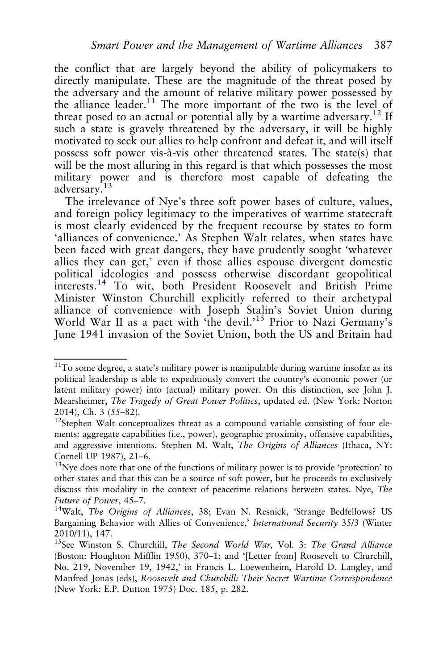the conflict that are largely beyond the ability of policymakers to directly manipulate. These are the magnitude of the threat posed by the adversary and the amount of relative military power possessed by the alliance leader.<sup>11</sup> The more important of the two is the level of threat posed to an actual or potential ally by a wartime adversary.<sup>12</sup> If such a state is gravely threatened by the adversary, it will be highly motivated to seek out allies to help confront and defeat it, and will itself possess soft power vis-à-vis other threatened states. The state(s) that will be the most alluring in this regard is that which possesses the most military power and is therefore most capable of defeating the adversary.<sup>13</sup>

The irrelevance of Nye's three soft power bases of culture, values, and foreign policy legitimacy to the imperatives of wartime statecraft is most clearly evidenced by the frequent recourse by states to form 'alliances of convenience.' As Stephen Walt relates, when states have been faced with great dangers, they have prudently sought 'whatever allies they can get,' even if those allies espouse divergent domestic political ideologies and possess otherwise discordant geopolitical interests.<sup>14</sup> To wit, both President Roosevelt and British Prime Minister Winston Churchill explicitly referred to their archetypal alliance of convenience with Joseph Stalin's Soviet Union during World War II as a pact with 'the devil.'<sup>15</sup> Prior to Nazi Germany's June 1941 invasion of the Soviet Union, both the US and Britain had

 $11$ <sup>T</sup>O some degree, a state's military power is manipulable during wartime insofar as its political leadership is able to expeditiously convert the country's economic power (or latent military power) into (actual) military power. On this distinction, see John J. Mearsheimer, The Tragedy of Great Power Politics, updated ed. (New York: Norton 2014), Ch. 3 (55–82).  $12$ Stephen Walt conceptualizes threat as a compound variable consisting of four ele-

ments: aggregate capabilities (i.e., power), geographic proximity, offensive capabilities, and aggressive intentions. Stephen M. Walt, The Origins of Alliances (Ithaca, NY: Cornell UP 1987), 21–6.<br><sup>13</sup>Nye does note that one of the functions of military power is to provide 'protection' to

other states and that this can be a source of soft power, but he proceeds to exclusively discuss this modality in the context of peacetime relations between states. Nye, The Future of Power, 45–7.<br><sup>14</sup>Walt, *The Origins of Alliances*, 38; Evan N. Resnick, 'Strange Bedfellows? US

Bargaining Behavior with Allies of Convenience,' International Security 35/3 (Winter 2010/11), 147.

<sup>&</sup>lt;sup>15</sup>See Winston S. Churchill, The Second World War, Vol. 3: The Grand Alliance (Boston: Houghton Mifflin 1950), 370–1; and '[Letter from] Roosevelt to Churchill, No. 219, November 19, 1942,' in Francis L. Loewenheim, Harold D. Langley, and Manfred Jonas (eds), Roosevelt and Churchill: Their Secret Wartime Correspondence (New York: E.P. Dutton 1975) Doc. 185, p. 282.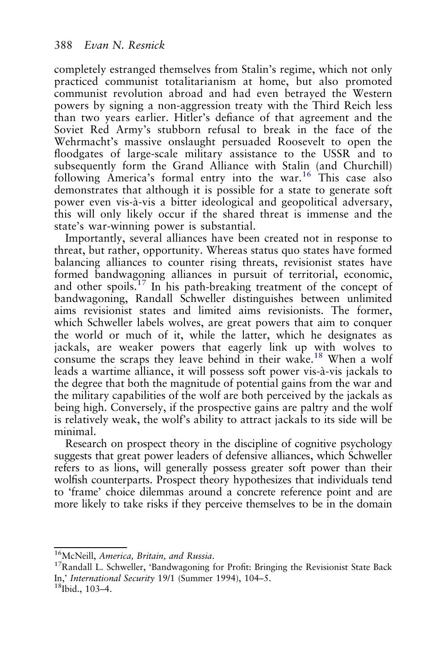completely estranged themselves from Stalin's regime, which not only practiced communist totalitarianism at home, but also promoted communist revolution abroad and had even betrayed the Western powers by signing a non-aggression treaty with the Third Reich less than two years earlier. Hitler's defiance of that agreement and the Soviet Red Army's stubborn refusal to break in the face of the Wehrmacht's massive onslaught persuaded Roosevelt to open the floodgates of large-scale military assistance to the USSR and to subsequently form the Grand Alliance with Stalin (and Churchill) following America's formal entry into the war.<sup>16</sup> This case also demonstrates that although it is possible for a state to generate soft power even vis-à-vis a bitter ideological and geopolitical adversary, this will only likely occur if the shared threat is immense and the state's war-winning power is substantial.

Importantly, several alliances have been created not in response to threat, but rather, opportunity. Whereas status quo states have formed balancing alliances to counter rising threats, revisionist states have formed bandwagoning alliances in pursuit of territorial, economic, and other spoils.<sup>17</sup> In his path-breaking treatment of the concept of bandwagoning, Randall Schweller distinguishes between unlimited aims revisionist states and limited aims revisionists. The former, which Schweller labels wolves, are great powers that aim to conquer the world or much of it, while the latter, which he designates as jackals, are weaker powers that eagerly link up with wolves to consume the scraps they leave behind in their wake.<sup>18</sup> When a wolf leads a wartime alliance, it will possess soft power vis-à-vis jackals to the degree that both the magnitude of potential gains from the war and the military capabilities of the wolf are both perceived by the jackals as being high. Conversely, if the prospective gains are paltry and the wolf is relatively weak, the wolf's ability to attract jackals to its side will be minimal.

Research on prospect theory in the discipline of cognitive psychology suggests that great power leaders of defensive alliances, which Schweller refers to as lions, will generally possess greater soft power than their wolfish counterparts. Prospect theory hypothesizes that individuals tend to 'frame' choice dilemmas around a concrete reference point and are more likely to take risks if they perceive themselves to be in the domain

<sup>&</sup>lt;sup>16</sup>McNeill, *America, Britain, and Russia.*  $17R$ andall L. Schweller, 'Bandwagoning for Profit: Bringing the Revisionist State Back In,' International Security 19/1 (Summer 1994), 104–5.<br><sup>18</sup>Ibid., 103–4.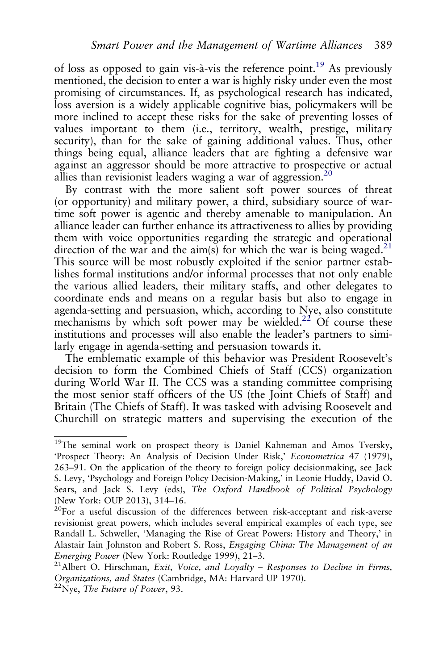of loss as opposed to gain vis-à-vis the reference point.<sup>19</sup> As previously mentioned, the decision to enter a war is highly risky under even the most promising of circumstances. If, as psychological research has indicated, loss aversion is a widely applicable cognitive bias, policymakers will be more inclined to accept these risks for the sake of preventing losses of values important to them (i.e., territory, wealth, prestige, military security), than for the sake of gaining additional values. Thus, other things being equal, alliance leaders that are fighting a defensive war against an aggressor should be more attractive to prospective or actual allies than revisionist leaders waging a war of aggression.<sup>20</sup>

By contrast with the more salient soft power sources of threat (or opportunity) and military power, a third, subsidiary source of wartime soft power is agentic and thereby amenable to manipulation. An alliance leader can further enhance its attractiveness to allies by providing them with voice opportunities regarding the strategic and operational direction of the war and the aim(s) for which the war is being waged.<sup>21</sup> This source will be most robustly exploited if the senior partner establishes formal institutions and/or informal processes that not only enable the various allied leaders, their military staffs, and other delegates to coordinate ends and means on a regular basis but also to engage in agenda-setting and persuasion, which, according to Nye, also constitute mechanisms by which soft power may be wielded.<sup>22</sup> Of course these institutions and processes will also enable the leader's partners to similarly engage in agenda-setting and persuasion towards it.

The emblematic example of this behavior was President Roosevelt's decision to form the Combined Chiefs of Staff (CCS) organization during World War II. The CCS was a standing committee comprising the most senior staff officers of the US (the Joint Chiefs of Staff) and Britain (The Chiefs of Staff). It was tasked with advising Roosevelt and Churchill on strategic matters and supervising the execution of the

<sup>&</sup>lt;sup>19</sup>The seminal work on prospect theory is Daniel Kahneman and Amos Tversky, 'Prospect Theory: An Analysis of Decision Under Risk,' Econometrica 47 (1979), 263–91. On the application of the theory to foreign policy decisionmaking, see Jack S. Levy, 'Psychology and Foreign Policy Decision-Making,' in Leonie Huddy, David O. Sears, and Jack S. Levy (eds), The Oxford Handbook of Political Psychology (New York: OUP 2013), 314–16.<br><sup>20</sup>For a useful discussion of the differences between risk-acceptant and risk-averse

revisionist great powers, which includes several empirical examples of each type, see Randall L. Schweller, 'Managing the Rise of Great Powers: History and Theory,' in Alastair Iain Johnston and Robert S. Ross, Engaging China: The Management of an Emerging Power (New York: Routledge 1999), 21–3.<br><sup>21</sup>Albert O. Hirschman, *Exit, Voice, and Loyalty – Responses to Decline in Firms*,

Organizations, and States (Cambridge, MA: Harvard UP 1970).<br><sup>22</sup>Nye, *The Future of Power*, 93.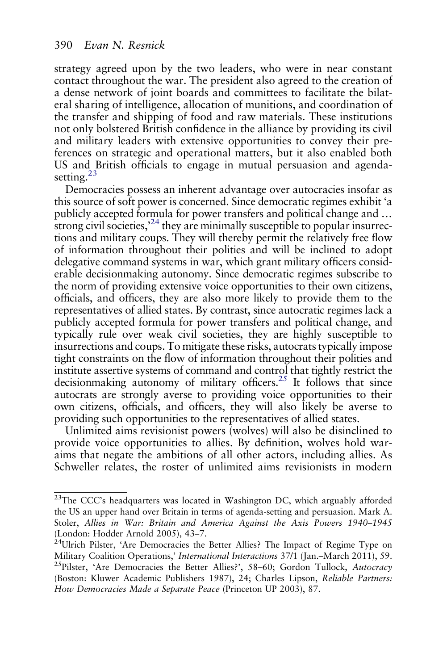strategy agreed upon by the two leaders, who were in near constant contact throughout the war. The president also agreed to the creation of a dense network of joint boards and committees to facilitate the bilateral sharing of intelligence, allocation of munitions, and coordination of the transfer and shipping of food and raw materials. These institutions not only bolstered British confidence in the alliance by providing its civil and military leaders with extensive opportunities to convey their preferences on strategic and operational matters, but it also enabled both US and British officials to engage in mutual persuasion and agendasetting. $23$ 

Democracies possess an inherent advantage over autocracies insofar as this source of soft power is concerned. Since democratic regimes exhibit 'a publicly accepted formula for power transfers and political change and … strong civil societies,<sup>24</sup> they are minimally susceptible to popular insurrections and military coups. They will thereby permit the relatively free flow of information throughout their polities and will be inclined to adopt delegative command systems in war, which grant military officers considerable decisionmaking autonomy. Since democratic regimes subscribe to the norm of providing extensive voice opportunities to their own citizens, officials, and officers, they are also more likely to provide them to the representatives of allied states. By contrast, since autocratic regimes lack a publicly accepted formula for power transfers and political change, and typically rule over weak civil societies, they are highly susceptible to insurrections and coups. To mitigate these risks, autocrats typically impose tight constraints on the flow of information throughout their polities and institute assertive systems of command and control that tightly restrict the decisionmaking autonomy of military officers.<sup>25</sup> It follows that since autocrats are strongly averse to providing voice opportunities to their own citizens, officials, and officers, they will also likely be averse to providing such opportunities to the representatives of allied states.

Unlimited aims revisionist powers (wolves) will also be disinclined to provide voice opportunities to allies. By definition, wolves hold waraims that negate the ambitions of all other actors, including allies. As Schweller relates, the roster of unlimited aims revisionists in modern

<sup>&</sup>lt;sup>23</sup>The CCC's headquarters was located in Washington DC, which arguably afforded the US an upper hand over Britain in terms of agenda-setting and persuasion. Mark A. Stoler, Allies in War: Britain and America Against the Axis Powers 1940–1945 (London: Hodder Arnold 2005), 43–7. 24Ulrich Pilster, 'Are Democracies the Better Allies? The Impact of Regime Type on

Military Coalition Operations,' *International Interactions* 37/1 (Jan.–March 2011), 59. <sup>25</sup>Pilster, 'Are Democracies the Better Allies?', 58–60; Gordon Tullock, Autocracy (Boston: Kluwer Academic Publishers 1987), 24; Charles Lipson, Reliable Partners: How Democracies Made a Separate Peace (Princeton UP 2003), 87.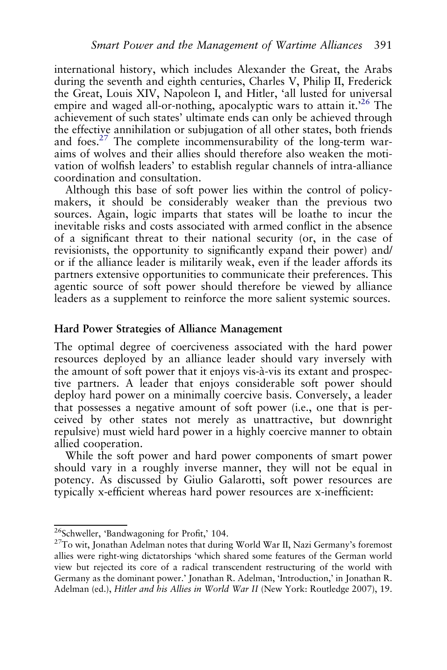international history, which includes Alexander the Great, the Arabs during the seventh and eighth centuries, Charles V, Philip II, Frederick the Great, Louis XIV, Napoleon I, and Hitler, 'all lusted for universal empire and waged all-or-nothing, apocalyptic wars to attain it.<sup>26</sup> The achievement of such states' ultimate ends can only be achieved through the effective annihilation or subjugation of all other states, both friends and foes.<sup>27</sup> The complete incommensurability of the long-term waraims of wolves and their allies should therefore also weaken the motivation of wolfish leaders' to establish regular channels of intra-alliance coordination and consultation.

Although this base of soft power lies within the control of policymakers, it should be considerably weaker than the previous two sources. Again, logic imparts that states will be loathe to incur the inevitable risks and costs associated with armed conflict in the absence of a significant threat to their national security (or, in the case of revisionists, the opportunity to significantly expand their power) and/ or if the alliance leader is militarily weak, even if the leader affords its partners extensive opportunities to communicate their preferences. This agentic source of soft power should therefore be viewed by alliance leaders as a supplement to reinforce the more salient systemic sources.

#### Hard Power Strategies of Alliance Management

The optimal degree of coerciveness associated with the hard power resources deployed by an alliance leader should vary inversely with the amount of soft power that it enjoys vis-à-vis its extant and prospective partners. A leader that enjoys considerable soft power should deploy hard power on a minimally coercive basis. Conversely, a leader that possesses a negative amount of soft power (i.e., one that is perceived by other states not merely as unattractive, but downright repulsive) must wield hard power in a highly coercive manner to obtain allied cooperation.

While the soft power and hard power components of smart power should vary in a roughly inverse manner, they will not be equal in potency. As discussed by Giulio Galarotti, soft power resources are typically x-efficient whereas hard power resources are x-inefficient:

<sup>&</sup>lt;sup>26</sup>Schweller, 'Bandwagoning for Profit,' 104.<br><sup>27</sup>To wit, Jonathan Adelman notes that during World War II, Nazi Germany's foremost allies were right-wing dictatorships 'which shared some features of the German world view but rejected its core of a radical transcendent restructuring of the world with Germany as the dominant power.' Jonathan R. Adelman, 'Introduction,' in Jonathan R. Adelman (ed.), Hitler and his Allies in World War II (New York: Routledge 2007), 19.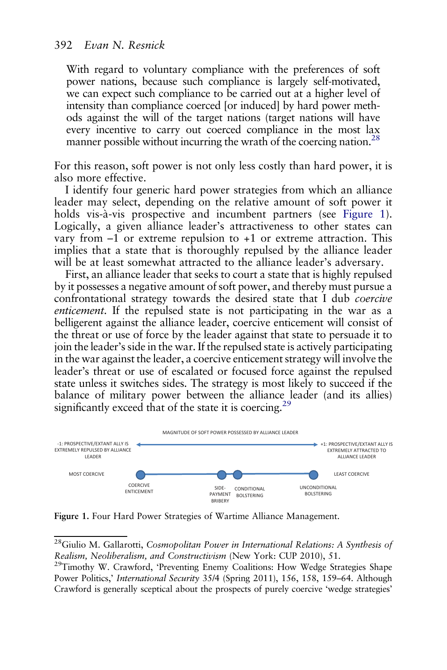With regard to voluntary compliance with the preferences of soft power nations, because such compliance is largely self-motivated, we can expect such compliance to be carried out at a higher level of intensity than compliance coerced [or induced] by hard power methods against the will of the target nations (target nations will have every incentive to carry out coerced compliance in the most lax manner possible without incurring the wrath of the coercing nation.<sup>28</sup>

For this reason, soft power is not only less costly than hard power, it is also more effective.

I identify four generic hard power strategies from which an alliance leader may select, depending on the relative amount of soft power it holds vis-à-vis prospective and incumbent partners (see Figure 1). Logically, a given alliance leader's attractiveness to other states can vary from –1 or extreme repulsion to +1 or extreme attraction. This implies that a state that is thoroughly repulsed by the alliance leader will be at least somewhat attracted to the alliance leader's adversary.

First, an alliance leader that seeks to court a state that is highly repulsed by it possesses a negative amount of soft power, and thereby must pursue a confrontational strategy towards the desired state that I dub coercive enticement. If the repulsed state is not participating in the war as a belligerent against the alliance leader, coercive enticement will consist of the threat or use of force by the leader against that state to persuade it to join the leader's side in the war. If the repulsed state is actively participating in the war against the leader, a coercive enticement strategy will involve the leader's threat or use of escalated or focused force against the repulsed state unless it switches sides. The strategy is most likely to succeed if the balance of military power between the alliance leader (and its allies) significantly exceed that of the state it is coercing.<sup>29</sup>



Figure 1. Four Hard Power Strategies of Wartime Alliance Management.

<sup>&</sup>lt;sup>28</sup>Giulio M. Gallarotti, Cosmopolitan Power in International Relations: A Synthesis of Realism, Neoliberalism, and Constructivism (New York: CUP 2010), 51.<br><sup>29</sup>Timothy W. Crawford, 'Preventing Enemy Coalitions: How Wedge Strategies Shape

Power Politics,' International Security 35/4 (Spring 2011), 156, 158, 159–64. Although Crawford is generally sceptical about the prospects of purely coercive 'wedge strategies'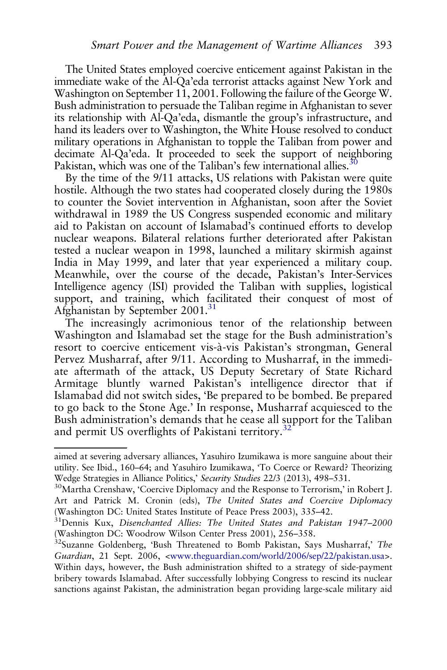The United States employed coercive enticement against Pakistan in the immediate wake of the Al-Qa'eda terrorist attacks against New York and Washington on September 11, 2001. Following the failure of the George W. Bush administration to persuade the Taliban regime in Afghanistan to sever its relationship with Al-Qa'eda, dismantle the group's infrastructure, and hand its leaders over to Washington, the White House resolved to conduct military operations in Afghanistan to topple the Taliban from power and decimate Al-Qa'eda. It proceeded to seek the support of neighboring Pakistan, which was one of the Taliban's few international allies.<sup>30</sup>

By the time of the 9/11 attacks, US relations with Pakistan were quite hostile. Although the two states had cooperated closely during the 1980s to counter the Soviet intervention in Afghanistan, soon after the Soviet withdrawal in 1989 the US Congress suspended economic and military aid to Pakistan on account of Islamabad's continued efforts to develop nuclear weapons. Bilateral relations further deteriorated after Pakistan tested a nuclear weapon in 1998, launched a military skirmish against India in May 1999, and later that year experienced a military coup. Meanwhile, over the course of the decade, Pakistan's Inter-Services Intelligence agency (ISI) provided the Taliban with supplies, logistical support, and training, which facilitated their conquest of most of Afghanistan by September  $2001<sup>31</sup>$ 

The increasingly acrimonious tenor of the relationship between Washington and Islamabad set the stage for the Bush administration's resort to coercive enticement vis-à-vis Pakistan's strongman, General Pervez Musharraf, after 9/11. According to Musharraf, in the immediate aftermath of the attack, US Deputy Secretary of State Richard Armitage bluntly warned Pakistan's intelligence director that if Islamabad did not switch sides, 'Be prepared to be bombed. Be prepared to go back to the Stone Age.' In response, Musharraf acquiesced to the Bush administration's demands that he cease all support for the Taliban and permit US overflights of Pakistani territory.<sup>32</sup>

aimed at severing adversary alliances, Yasuhiro Izumikawa is more sanguine about their utility. See Ibid., 160–64; and Yasuhiro Izumikawa, 'To Coerce or Reward? Theorizing Wedge Strategies in Alliance Politics,' Security Studies 22/3 (2013), 498–531.<br><sup>30</sup>Martha Crenshaw, 'Coercive Diplomacy and the Response to Terrorism,' in Robert J.

Art and Patrick M. Cronin (eds), The United States and Coercive Diplomacy

<sup>(</sup>Washington DC: United States Institute of Peace Press 2003), 335–42.<br><sup>31</sup>Dennis Kux, *Disenchanted Allies: The United States and Pakistan 1947–2000* 

<sup>(</sup>Washington DC: Woodrow Wilson Center Press 2001), 256–358.<br><sup>32</sup>Suzanne Goldenberg, 'Bush Threatened to Bomb Pakistan, Says Musharraf,' The Guardian, 21 Sept. 2006, [<www.theguardian.com/world/2006/sep/22/pakistan.usa](http://www.theguardian.com/world/2006/sep/22/pakistan.usa)>. Within days, however, the Bush administration shifted to a strategy of side-payment bribery towards Islamabad. After successfully lobbying Congress to rescind its nuclear sanctions against Pakistan, the administration began providing large-scale military aid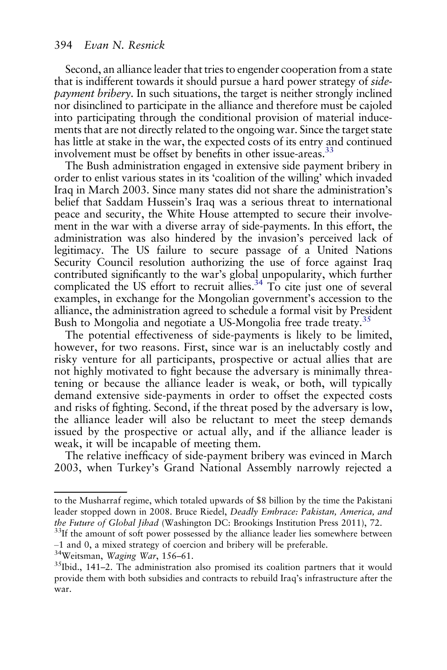#### 394 Evan N. Resnick

Second, an alliance leader that tries to engender cooperation from a state that is indifferent towards it should pursue a hard power strategy of sidepayment bribery. In such situations, the target is neither strongly inclined nor disinclined to participate in the alliance and therefore must be cajoled into participating through the conditional provision of material inducements that are not directly related to the ongoing war. Since the target state has little at stake in the war, the expected costs of its entry and continued involvement must be offset by benefits in other issue-areas.<sup>33</sup>

The Bush administration engaged in extensive side payment bribery in order to enlist various states in its 'coalition of the willing' which invaded Iraq in March 2003. Since many states did not share the administration's belief that Saddam Hussein's Iraq was a serious threat to international peace and security, the White House attempted to secure their involvement in the war with a diverse array of side-payments. In this effort, the administration was also hindered by the invasion's perceived lack of legitimacy. The US failure to secure passage of a United Nations Security Council resolution authorizing the use of force against Iraq contributed significantly to the war's global unpopularity, which further complicated the US effort to recruit allies.<sup>34</sup>  $T_0$  cite just one of several examples, in exchange for the Mongolian government's accession to the alliance, the administration agreed to schedule a formal visit by President Bush to Mongolia and negotiate a US-Mongolia free trade treaty.<sup>35</sup>

The potential effectiveness of side-payments is likely to be limited, however, for two reasons. First, since war is an ineluctably costly and risky venture for all participants, prospective or actual allies that are not highly motivated to fight because the adversary is minimally threatening or because the alliance leader is weak, or both, will typically demand extensive side-payments in order to offset the expected costs and risks of fighting. Second, if the threat posed by the adversary is low, the alliance leader will also be reluctant to meet the steep demands issued by the prospective or actual ally, and if the alliance leader is weak, it will be incapable of meeting them.

The relative inefficacy of side-payment bribery was evinced in March 2003, when Turkey's Grand National Assembly narrowly rejected a

to the Musharraf regime, which totaled upwards of \$8 billion by the time the Pakistani leader stopped down in 2008. Bruce Riedel, Deadly Embrace: Pakistan, America, and the Future of Global Jihad (Washington DC: Brookings Institution Press 2011), 72. <sup>33</sup>If the amount of soft power possessed by the alliance leader lies somewhere between

 $-1$  and 0, a mixed strategy of coercion and bribery will be preferable.<br><sup>34</sup>Weitsman, *Waging War*, 156–61.

 $35$ Ibid., 141–2. The administration also promised its coalition partners that it would provide them with both subsidies and contracts to rebuild Iraq's infrastructure after the war.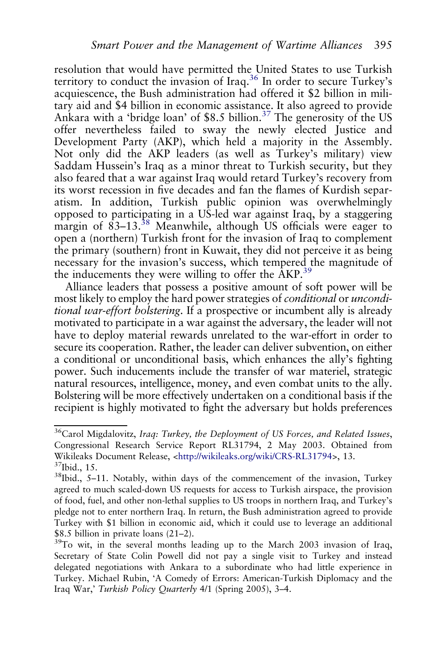resolution that would have permitted the United States to use Turkish territory to conduct the invasion of Iraq.<sup>36</sup> In order to secure Turkey's acquiescence, the Bush administration had offered it \$2 billion in military aid and \$4 billion in economic assistance. It also agreed to provide Ankara with a 'bridge loan' of \$8.5 billion.<sup>37</sup> The generosity of the US offer nevertheless failed to sway the newly elected Justice and Development Party (AKP), which held a majority in the Assembly. Not only did the AKP leaders (as well as Turkey's military) view Saddam Hussein's Iraq as a minor threat to Turkish security, but they also feared that a war against Iraq would retard Turkey's recovery from its worst recession in five decades and fan the flames of Kurdish separatism. In addition, Turkish public opinion was overwhelmingly opposed to participating in a US-led war against Iraq, by a staggering margin of 83–13.<sup>38</sup> Meanwhile, although US officials were eager to open a (northern) Turkish front for the invasion of Iraq to complement the primary (southern) front in Kuwait, they did not perceive it as being necessary for the invasion's success, which tempered the magnitude of the inducements they were willing to offer the AKP.39

Alliance leaders that possess a positive amount of soft power will be most likely to employ the hard power strategies of conditional or unconditional war-effort bolstering. If a prospective or incumbent ally is already motivated to participate in a war against the adversary, the leader will not have to deploy material rewards unrelated to the war-effort in order to secure its cooperation. Rather, the leader can deliver subvention, on either a conditional or unconditional basis, which enhances the ally's fighting power. Such inducements include the transfer of war materiel, strategic natural resources, intelligence, money, and even combat units to the ally. Bolstering will be more effectively undertaken on a conditional basis if the recipient is highly motivated to fight the adversary but holds preferences

<sup>&</sup>lt;sup>36</sup>Carol Migdalovitz, Iraq: Turkey, the Deployment of US Forces, and Related Issues, Congressional Research Service Report RL31794, 2 May 2003. Obtained from Wikileaks Document Release, <http://wikileaks.org/wiki/CRS-RL31794>, 13.  $\frac{37 \text{Ibid., } 15.}{38 \text{Ibid., } 5-11.}$  Notably, within days of the commencement of the invasion, Turkey

agreed to much scaled-down US requests for access to Turkish airspace, the provision of food, fuel, and other non-lethal supplies to US troops in northern Iraq, and Turkey's pledge not to enter northern Iraq. In return, the Bush administration agreed to provide Turkey with \$1 billion in economic aid, which it could use to leverage an additional \$8.5 billion in private loans (21–2).<br><sup>39</sup>To wit, in the several months leading up to the March 2003 invasion of Iraq,

Secretary of State Colin Powell did not pay a single visit to Turkey and instead delegated negotiations with Ankara to a subordinate who had little experience in Turkey. Michael Rubin, 'A Comedy of Errors: American-Turkish Diplomacy and the Iraq War,' Turkish Policy Quarterly 4/1 (Spring 2005), 3–4.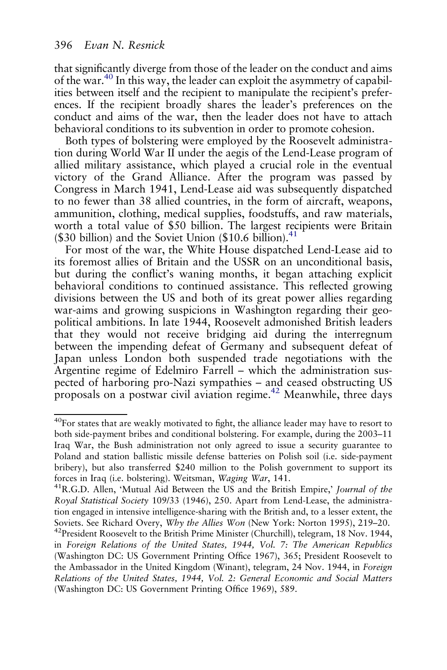that significantly diverge from those of the leader on the conduct and aims of the war.40 In this way, the leader can exploit the asymmetry of capabilities between itself and the recipient to manipulate the recipient's preferences. If the recipient broadly shares the leader's preferences on the conduct and aims of the war, then the leader does not have to attach behavioral conditions to its subvention in order to promote cohesion.

Both types of bolstering were employed by the Roosevelt administration during World War II under the aegis of the Lend-Lease program of allied military assistance, which played a crucial role in the eventual victory of the Grand Alliance. After the program was passed by Congress in March 1941, Lend-Lease aid was subsequently dispatched to no fewer than 38 allied countries, in the form of aircraft, weapons, ammunition, clothing, medical supplies, foodstuffs, and raw materials, worth a total value of \$50 billion. The largest recipients were Britain  $(\$30 \text{ billion})$  and the Soviet Union  $(\$10.6 \text{ billion})$ <sup>41</sup>

For most of the war, the White House dispatched Lend-Lease aid to its foremost allies of Britain and the USSR on an unconditional basis, but during the conflict's waning months, it began attaching explicit behavioral conditions to continued assistance. This reflected growing divisions between the US and both of its great power allies regarding war-aims and growing suspicions in Washington regarding their geopolitical ambitions. In late 1944, Roosevelt admonished British leaders that they would not receive bridging aid during the interregnum between the impending defeat of Germany and subsequent defeat of Japan unless London both suspended trade negotiations with the Argentine regime of Edelmiro Farrell – which the administration suspected of harboring pro-Nazi sympathies – and ceased obstructing US proposals on a postwar civil aviation regime.42 Meanwhile, three days

<sup>&</sup>lt;sup>40</sup>For states that are weakly motivated to fight, the alliance leader may have to resort to both side-payment bribes and conditional bolstering. For example, during the 2003–11 Iraq War, the Bush administration not only agreed to issue a security guarantee to Poland and station ballistic missile defense batteries on Polish soil (i.e. side-payment bribery), but also transferred \$240 million to the Polish government to support its forces in Iraq (i.e. bolstering). Weitsman, Waging War, 141.<br><sup>41</sup>R.G.D. Allen, 'Mutual Aid Between the US and the British Empire,' Journal of the

Royal Statistical Society 109/33 (1946), 250. Apart from Lend-Lease, the administration engaged in intensive intelligence-sharing with the British and, to a lesser extent, the Soviets. See Richard Overy, *Why the Allies Won* (New York: Norton 1995), 219–20. <sup>42</sup>President Roosevelt to the British Prime Minister (Churchill), telegram, 18 Nov. 1944,

in Foreign Relations of the United States, 1944, Vol. 7: The American Republics (Washington DC: US Government Printing Office 1967), 365; President Roosevelt to the Ambassador in the United Kingdom (Winant), telegram, 24 Nov. 1944, in Foreign Relations of the United States, 1944, Vol. 2: General Economic and Social Matters (Washington DC: US Government Printing Office 1969), 589.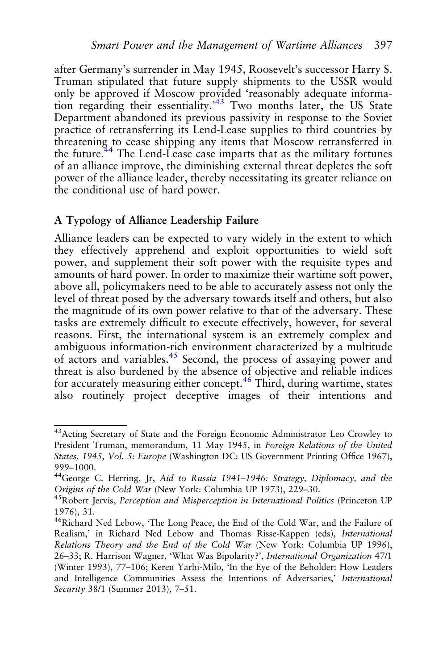after Germany's surrender in May 1945, Roosevelt's successor Harry S. Truman stipulated that future supply shipments to the USSR would only be approved if Moscow provided 'reasonably adequate information regarding their essentiality.<sup>43</sup> Two months later, the US State Department abandoned its previous passivity in response to the Soviet practice of retransferring its Lend-Lease supplies to third countries by threatening to cease shipping any items that Moscow retransferred in the future.<sup> $44$ </sup> The Lend-Lease case imparts that as the military fortunes of an alliance improve, the diminishing external threat depletes the soft power of the alliance leader, thereby necessitating its greater reliance on the conditional use of hard power.

#### A Typology of Alliance Leadership Failure

Alliance leaders can be expected to vary widely in the extent to which they effectively apprehend and exploit opportunities to wield soft power, and supplement their soft power with the requisite types and amounts of hard power. In order to maximize their wartime soft power, above all, policymakers need to be able to accurately assess not only the level of threat posed by the adversary towards itself and others, but also the magnitude of its own power relative to that of the adversary. These tasks are extremely difficult to execute effectively, however, for several reasons. First, the international system is an extremely complex and ambiguous information-rich environment characterized by a multitude of actors and variables.45 Second, the process of assaying power and threat is also burdened by the absence of objective and reliable indices for accurately measuring either concept.<sup>46</sup> Third, during wartime, states also routinely project deceptive images of their intentions and

<sup>43</sup>Acting Secretary of State and the Foreign Economic Administrator Leo Crowley to President Truman, memorandum, 11 May 1945, in Foreign Relations of the United States, 1945, Vol. 5: Europe (Washington DC: US Government Printing Office 1967), 999–1000.<br><sup>44</sup>George C. Herring, Jr, Aid to Russia 1941–1946: Strategy, Diplomacy, and the

Origins of the Cold War (New York: Columbia UP 1973), 229–30.<br><sup>45</sup>Robert Jervis, *Perception and Misperception in International Politics* (Princeton UP

<sup>1976), 31.</sup>

<sup>46</sup>Richard Ned Lebow, 'The Long Peace, the End of the Cold War, and the Failure of Realism,' in Richard Ned Lebow and Thomas Risse-Kappen (eds), International Relations Theory and the End of the Cold War (New York: Columbia UP 1996), 26–33; R. Harrison Wagner, 'What Was Bipolarity?', International Organization 47/1 (Winter 1993), 77–106; Keren Yarhi-Milo, 'In the Eye of the Beholder: How Leaders and Intelligence Communities Assess the Intentions of Adversaries,' International Security 38/1 (Summer 2013), 7–51.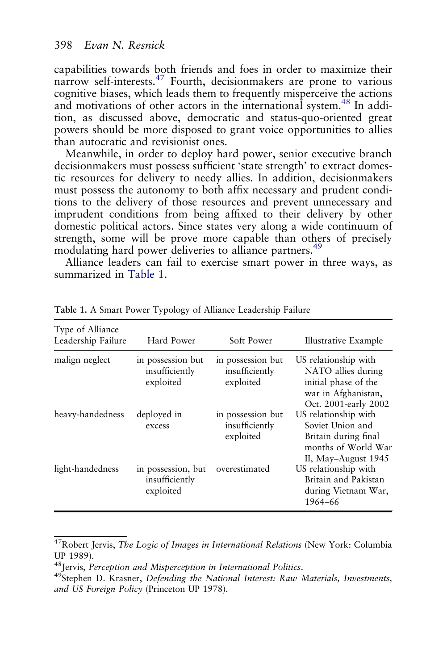capabilities towards both friends and foes in order to maximize their narrow self-interests. $47$  Fourth, decisionmakers are prone to various cognitive biases, which leads them to frequently misperceive the actions and motivations of other actors in the international system.<sup>48</sup> In addition, as discussed above, democratic and status-quo-oriented great powers should be more disposed to grant voice opportunities to allies than autocratic and revisionist ones.

Meanwhile, in order to deploy hard power, senior executive branch decisionmakers must possess sufficient 'state strength' to extract domestic resources for delivery to needy allies. In addition, decisionmakers must possess the autonomy to both affix necessary and prudent conditions to the delivery of those resources and prevent unnecessary and imprudent conditions from being affixed to their delivery by other domestic political actors. Since states very along a wide continuum of strength, some will be prove more capable than others of precisely modulating hard power deliveries to alliance partners.<sup>49</sup>

Alliance leaders can fail to exercise smart power in three ways, as summarized in Table 1.

| Type of Alliance<br>Leadership Failure | Hard Power                                        | Soft Power                                       | Illustrative Example                                                                                              |
|----------------------------------------|---------------------------------------------------|--------------------------------------------------|-------------------------------------------------------------------------------------------------------------------|
| malign neglect                         | in possession but<br>insufficiently<br>exploited  | in possession but<br>insufficiently<br>exploited | US relationship with<br>NATO allies during<br>initial phase of the<br>war in Afghanistan,<br>Oct. 2001-early 2002 |
| heavy-handedness                       | deployed in<br>excess                             | in possession but<br>insufficiently<br>exploited | US relationship with<br>Soviet Union and<br>Britain during final<br>months of World War<br>II, May-August 1945    |
| light-handedness                       | in possession, but<br>insufficiently<br>exploited | overestimated                                    | US relationship with<br>Britain and Pakistan<br>during Vietnam War,<br>1964–66                                    |

Table 1. A Smart Power Typology of Alliance Leadership Failure

<sup>&</sup>lt;sup>47</sup>Robert Jervis, The Logic of Images in International Relations (New York: Columbia UP 1989).<br><sup>48</sup> Jervis, *Perception and Misperception in International Politics*.

<sup>&</sup>lt;sup>49</sup>Stephen D. Krasner, Defending the National Interest: Raw Materials, Investments, and US Foreign Policy (Princeton UP 1978).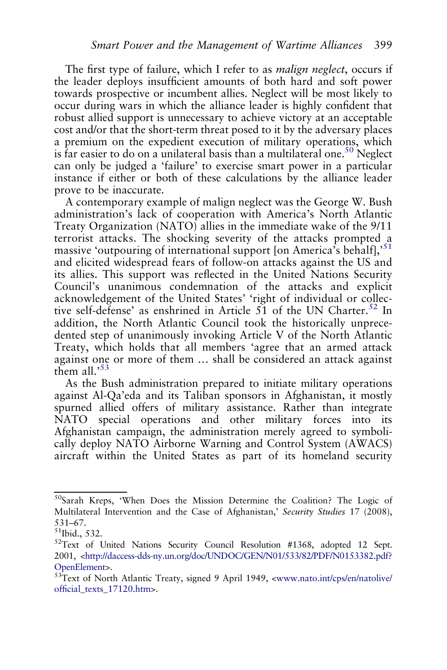The first type of failure, which I refer to as *malign neglect*, occurs if the leader deploys insufficient amounts of both hard and soft power towards prospective or incumbent allies. Neglect will be most likely to occur during wars in which the alliance leader is highly confident that robust allied support is unnecessary to achieve victory at an acceptable cost and/or that the short-term threat posed to it by the adversary places a premium on the expedient execution of military operations, which is far easier to do on a unilateral basis than a multilateral one.<sup>50</sup> Neglect can only be judged a 'failure' to exercise smart power in a particular instance if either or both of these calculations by the alliance leader prove to be inaccurate.

A contemporary example of malign neglect was the George W. Bush administration's lack of cooperation with America's North Atlantic Treaty Organization (NATO) allies in the immediate wake of the 9/11 terrorist attacks. The shocking severity of the attacks prompted a massive 'outpouring of international support [on America's behalf],'<sup>51</sup> and elicited widespread fears of follow-on attacks against the US and its allies. This support was reflected in the United Nations Security Council's unanimous condemnation of the attacks and explicit acknowledgement of the United States' 'right of individual or collective self-defense' as enshrined in Article 51 of the UN Charter.<sup>52</sup> In addition, the North Atlantic Council took the historically unprecedented step of unanimously invoking Article V of the North Atlantic Treaty, which holds that all members 'agree that an armed attack against one or more of them … shall be considered an attack against them all.'53

As the Bush administration prepared to initiate military operations against Al-Qa'eda and its Taliban sponsors in Afghanistan, it mostly spurned allied offers of military assistance. Rather than integrate NATO special operations and other military forces into its Afghanistan campaign, the administration merely agreed to symbolically deploy NATO Airborne Warning and Control System (AWACS) aircraft within the United States as part of its homeland security

<sup>50</sup>Sarah Kreps, 'When Does the Mission Determine the Coalition? The Logic of Multilateral Intervention and the Case of Afghanistan,' Security Studies 17 (2008), 531–67.<br><sup>51</sup>Ibid., 532.<br><sup>52</sup>Text of United Nations Security Council Resolution #1368, adopted 12 Sept.

<sup>2001,</sup> [<http://daccess-dds-ny.un.org/doc/UNDOC/GEN/N01/533/82/PDF/N0153382.pdf?](http://daccess-dds-ny.un.org/doc/UNDOC/GEN/N01/533/82/PDF/N0153382.pdf?OpenElement) [OpenElement](http://daccess-dds-ny.un.org/doc/UNDOC/GEN/N01/533/82/PDF/N0153382.pdf?OpenElement)>.<br><sup>53</sup>Text of North Atlantic Treaty, signed 9 April 1949, <[www.nato.int/cps/en/natolive/](http://www.nato.int/cps/en/natolive/official_texts_17120.htm)

offi[cial\\_texts\\_17120.htm](http://www.nato.int/cps/en/natolive/official_texts_17120.htm)>.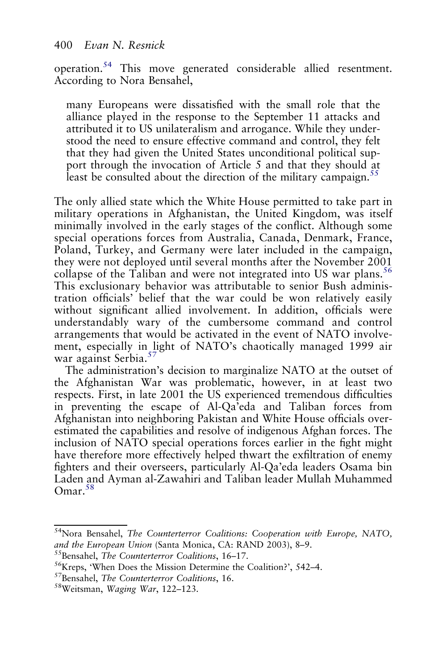operation.<sup>54</sup> This move generated considerable allied resentment. According to Nora Bensahel,

many Europeans were dissatisfied with the small role that the alliance played in the response to the September 11 attacks and attributed it to US unilateralism and arrogance. While they understood the need to ensure effective command and control, they felt that they had given the United States unconditional political support through the invocation of Article 5 and that they should at least be consulted about the direction of the military campaign.<sup>55</sup>

The only allied state which the White House permitted to take part in military operations in Afghanistan, the United Kingdom, was itself minimally involved in the early stages of the conflict. Although some special operations forces from Australia, Canada, Denmark, France, Poland, Turkey, and Germany were later included in the campaign, they were not deployed until several months after the November 2001 collapse of the Taliban and were not integrated into US war plans.<sup>56</sup> This exclusionary behavior was attributable to senior Bush administration officials' belief that the war could be won relatively easily without significant allied involvement. In addition, officials were understandably wary of the cumbersome command and control arrangements that would be activated in the event of NATO involvement, especially in light of NATO's chaotically managed 1999 air war against Serbia.<sup>57</sup>

The administration's decision to marginalize NATO at the outset of the Afghanistan War was problematic, however, in at least two respects. First, in late 2001 the US experienced tremendous difficulties in preventing the escape of Al-Qa'eda and Taliban forces from Afghanistan into neighboring Pakistan and White House officials overestimated the capabilities and resolve of indigenous Afghan forces. The inclusion of NATO special operations forces earlier in the fight might have therefore more effectively helped thwart the exfiltration of enemy fighters and their overseers, particularly Al-Qa'eda leaders Osama bin Laden and Ayman al-Zawahiri and Taliban leader Mullah Muhammed  $Omar.<sup>58</sup>$ 

<sup>54</sup>Nora Bensahel, The Counterterror Coalitions: Cooperation with Europe, NATO, and the European Union (Santa Monica, CA: RAND 2003), 8–9.<br><sup>55</sup>Bensahel, *The Counterterror Coalitions*, 16–17.<br><sup>56</sup>Kreps, 'When Does the Mission Determine the Coalition?', 542–4.<br><sup>57</sup>Bensahel, *The Counterterror Coalition*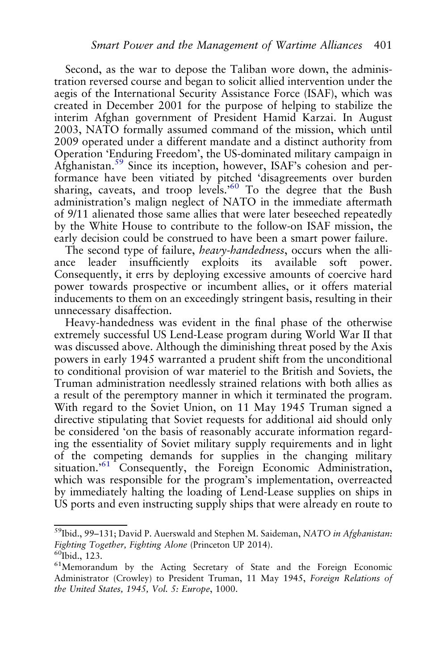Second, as the war to depose the Taliban wore down, the administration reversed course and began to solicit allied intervention under the aegis of the International Security Assistance Force (ISAF), which was created in December 2001 for the purpose of helping to stabilize the interim Afghan government of President Hamid Karzai. In August 2003, NATO formally assumed command of the mission, which until 2009 operated under a different mandate and a distinct authority from Operation 'Enduring Freedom', the US-dominated military campaign in Afghanistan.59 Since its inception, however, ISAF's cohesion and performance have been vitiated by pitched 'disagreements over burden sharing, caveats, and troop levels.'<sup>60</sup> To the degree that the Bush administration's malign neglect of NATO in the immediate aftermath of 9/11 alienated those same allies that were later beseeched repeatedly by the White House to contribute to the follow-on ISAF mission, the early decision could be construed to have been a smart power failure.

The second type of failure, *heavy-handedness*, occurs when the alli-<br>leader insufficiently exploits its available soft power. ance leader insufficiently exploits its available soft power. Consequently, it errs by deploying excessive amounts of coercive hard power towards prospective or incumbent allies, or it offers material inducements to them on an exceedingly stringent basis, resulting in their unnecessary disaffection.

Heavy-handedness was evident in the final phase of the otherwise extremely successful US Lend-Lease program during World War II that was discussed above. Although the diminishing threat posed by the Axis powers in early 1945 warranted a prudent shift from the unconditional to conditional provision of war materiel to the British and Soviets, the Truman administration needlessly strained relations with both allies as a result of the peremptory manner in which it terminated the program. With regard to the Soviet Union, on 11 May 1945 Truman signed a directive stipulating that Soviet requests for additional aid should only be considered 'on the basis of reasonably accurate information regarding the essentiality of Soviet military supply requirements and in light of the competing demands for supplies in the changing military situation.<sup>'61</sup> Consequently, the Foreign Economic Administration, which was responsible for the program's implementation, overreacted by immediately halting the loading of Lend-Lease supplies on ships in US ports and even instructing supply ships that were already en route to

<sup>&</sup>lt;sup>59</sup>Ibid., 99-131; David P. Auerswald and Stephen M. Saideman, NATO in Afghanistan: Fighting Together, Fighting Alone (Princeton UP 2014).<br><sup>60</sup>Ibid., 123.<br><sup>61</sup>Memorandum by the Acting Secretary of State and the Foreign Economic

Administrator (Crowley) to President Truman, 11 May 1945, Foreign Relations of the United States, 1945, Vol. 5: Europe, 1000.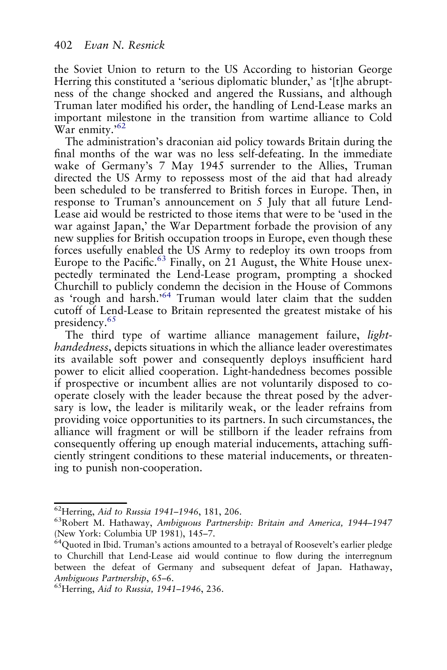the Soviet Union to return to the US According to historian George Herring this constituted a 'serious diplomatic blunder,' as '[t]he abruptness of the change shocked and angered the Russians, and although Truman later modified his order, the handling of Lend-Lease marks an important milestone in the transition from wartime alliance to Cold War enmity.'<sup>62</sup>

The administration's draconian aid policy towards Britain during the final months of the war was no less self-defeating. In the immediate wake of Germany's 7 May 1945 surrender to the Allies, Truman directed the US Army to repossess most of the aid that had already been scheduled to be transferred to British forces in Europe. Then, in response to Truman's announcement on 5 July that all future Lend-Lease aid would be restricted to those items that were to be 'used in the war against Japan,' the War Department forbade the provision of any new supplies for British occupation troops in Europe, even though these forces usefully enabled the US Army to redeploy its own troops from Europe to the Pacific.<sup>63</sup> Finally, on 21 August, the White House unexpectedly terminated the Lend-Lease program, prompting a shocked Churchill to publicly condemn the decision in the House of Commons as 'rough and harsh.'<sup>64</sup> Truman would later claim that the sudden cutoff of Lend-Lease to Britain represented the greatest mistake of his presidency.65

The third type of wartime alliance management failure, *light*handedness, depicts situations in which the alliance leader overestimates its available soft power and consequently deploys insufficient hard power to elicit allied cooperation. Light-handedness becomes possible if prospective or incumbent allies are not voluntarily disposed to cooperate closely with the leader because the threat posed by the adversary is low, the leader is militarily weak, or the leader refrains from providing voice opportunities to its partners. In such circumstances, the alliance will fragment or will be stillborn if the leader refrains from consequently offering up enough material inducements, attaching sufficiently stringent conditions to these material inducements, or threatening to punish non-cooperation.

<sup>&</sup>lt;sup>62</sup>Herring, Aid to Russia 1941–1946, 181, 206.<br><sup>63</sup>Robert M. Hathaway, Ambiguous Partnership: Britain and America, 1944–1947 (New York: Columbia UP 1981), 145–7.<br><sup>64</sup>Quoted in Ibid. Truman's actions amounted to a betrayal of Roosevelt's earlier pledge

to Churchill that Lend-Lease aid would continue to flow during the interregnum between the defeat of Germany and subsequent defeat of Japan. Hathaway, Ambiguous Partnership, 65–6.<br><sup>65</sup>Herring, Aid to Russia, 1941–1946, 236.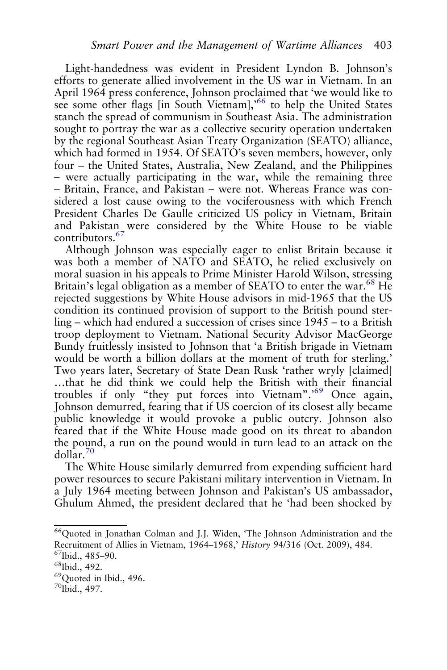Light-handedness was evident in President Lyndon B. Johnson's efforts to generate allied involvement in the US war in Vietnam. In an April 1964 press conference, Johnson proclaimed that 'we would like to see some other flags [in South Vietnam],<sup>566</sup> to help the United States stanch the spread of communism in Southeast Asia. The administration sought to portray the war as a collective security operation undertaken by the regional Southeast Asian Treaty Organization (SEATO) alliance, which had formed in 1954. Of SEATO's seven members, however, only four – the United States, Australia, New Zealand, and the Philippines – were actually participating in the war, while the remaining three – Britain, France, and Pakistan – were not. Whereas France was considered a lost cause owing to the vociferousness with which French President Charles De Gaulle criticized US policy in Vietnam, Britain and Pakistan were considered by the White House to be viable contributors.<sup>67</sup>

Although Johnson was especially eager to enlist Britain because it was both a member of NATO and SEATO, he relied exclusively on moral suasion in his appeals to Prime Minister Harold Wilson, stressing Britain's legal obligation as a member of SEATO to enter the war.<sup>68</sup> He rejected suggestions by White House advisors in mid-1965 that the US condition its continued provision of support to the British pound sterling – which had endured a succession of crises since 1945 – to a British troop deployment to Vietnam. National Security Advisor MacGeorge Bundy fruitlessly insisted to Johnson that 'a British brigade in Vietnam would be worth a billion dollars at the moment of truth for sterling.' Two years later, Secretary of State Dean Rusk 'rather wryly [claimed] …that he did think we could help the British with their financial troubles if only "they put forces into Vietnam".<sup>69</sup> Once again, Johnson demurred, fearing that if US coercion of its closest ally became public knowledge it would provoke a public outcry. Johnson also feared that if the White House made good on its threat to abandon the pound, a run on the pound would in turn lead to an attack on the dollar.70

The White House similarly demurred from expending sufficient hard power resources to secure Pakistani military intervention in Vietnam. In a July 1964 meeting between Johnson and Pakistan's US ambassador, Ghulum Ahmed, the president declared that he 'had been shocked by

<sup>66</sup>Quoted in Jonathan Colman and J.J. Widen, 'The Johnson Administration and the Recruitment of Allies in Vietnam, 1964–1968,' History 94/316 (Oct. 2009), 484.<br><sup>67</sup>Ibid., 485–90.<br><sup>68</sup>Ibid., 492.<br><sup>69</sup>Quoted in Ibid., 496. <sup>70</sup>Ibid., 497.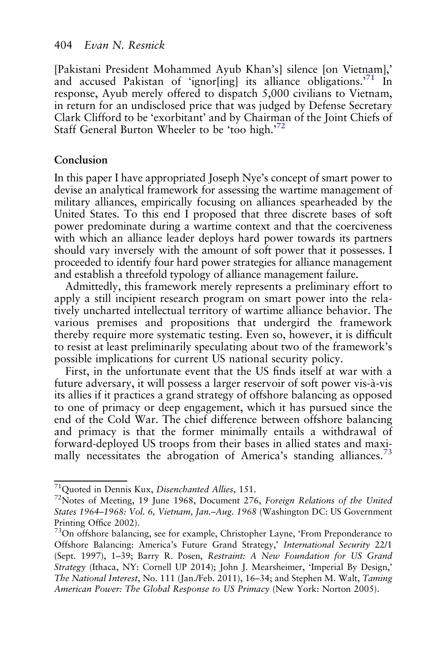#### 404 Evan N. Resnick

[Pakistani President Mohammed Ayub Khan's] silence [on Vietnam],' and accused Pakistan of 'ignor[ing] its alliance obligations.<sup>71</sup> In response, Ayub merely offered to dispatch 5,000 civilians to Vietnam, in return for an undisclosed price that was judged by Defense Secretary Clark Clifford to be 'exorbitant' and by Chairman of the Joint Chiefs of Staff General Burton Wheeler to be 'too high.'72

#### Conclusion

In this paper I have appropriated Joseph Nye's concept of smart power to devise an analytical framework for assessing the wartime management of military alliances, empirically focusing on alliances spearheaded by the United States. To this end I proposed that three discrete bases of soft power predominate during a wartime context and that the coerciveness with which an alliance leader deploys hard power towards its partners should vary inversely with the amount of soft power that it possesses. I proceeded to identify four hard power strategies for alliance management and establish a threefold typology of alliance management failure.

Admittedly, this framework merely represents a preliminary effort to apply a still incipient research program on smart power into the relatively uncharted intellectual territory of wartime alliance behavior. The various premises and propositions that undergird the framework thereby require more systematic testing. Even so, however, it is difficult to resist at least preliminarily speculating about two of the framework's possible implications for current US national security policy.

First, in the unfortunate event that the US finds itself at war with a future adversary, it will possess a larger reservoir of soft power vis-à-vis its allies if it practices a grand strategy of offshore balancing as opposed to one of primacy or deep engagement, which it has pursued since the end of the Cold War. The chief difference between offshore balancing and primacy is that the former minimally entails a withdrawal of forward-deployed US troops from their bases in allied states and maximally necessitates the abrogation of America's standing alliances.<sup>73</sup>

<sup>&</sup>lt;sup>71</sup>Quoted in Dennis Kux, Disenchanted Allies, 151.<br><sup>72</sup>Notes of Meeting, 19 June 1968, Document 276, Foreign Relations of the United States 1964–1968: Vol. 6, Vietnam, Jan.–Aug. 1968 (Washington DC: US Government Printing Office 2002).<br><sup>73</sup>On offshore balancing, see for example, Christopher Layne, 'From Preponderance to

Offshore Balancing: America's Future Grand Strategy,' International Security 22/1 (Sept. 1997), 1–39; Barry R. Posen, Restraint: A New Foundation for US Grand Strategy (Ithaca, NY: Cornell UP 2014); John J. Mearsheimer, 'Imperial By Design,' The National Interest, No. 111 (Jan./Feb. 2011), 16–34; and Stephen M. Walt, Taming American Power: The Global Response to US Primacy (New York: Norton 2005).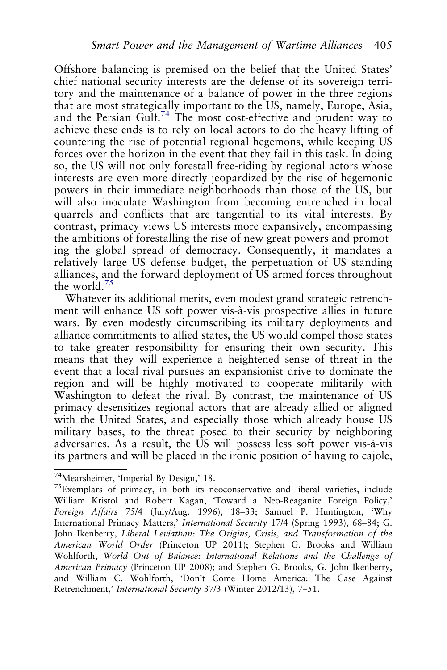Offshore balancing is premised on the belief that the United States' chief national security interests are the defense of its sovereign territory and the maintenance of a balance of power in the three regions that are most strategically important to the US, namely, Europe, Asia, and the Persian Gulf.<sup>74</sup> The most cost-effective and prudent way to achieve these ends is to rely on local actors to do the heavy lifting of countering the rise of potential regional hegemons, while keeping US forces over the horizon in the event that they fail in this task. In doing so, the US will not only forestall free-riding by regional actors whose interests are even more directly jeopardized by the rise of hegemonic powers in their immediate neighborhoods than those of the US, but will also inoculate Washington from becoming entrenched in local quarrels and conflicts that are tangential to its vital interests. By contrast, primacy views US interests more expansively, encompassing the ambitions of forestalling the rise of new great powers and promoting the global spread of democracy. Consequently, it mandates a relatively large US defense budget, the perpetuation of US standing alliances, and the forward deployment of US armed forces throughout the world. $75$ 

Whatever its additional merits, even modest grand strategic retrenchment will enhance US soft power vis-à-vis prospective allies in future wars. By even modestly circumscribing its military deployments and alliance commitments to allied states, the US would compel those states to take greater responsibility for ensuring their own security. This means that they will experience a heightened sense of threat in the event that a local rival pursues an expansionist drive to dominate the region and will be highly motivated to cooperate militarily with Washington to defeat the rival. By contrast, the maintenance of US primacy desensitizes regional actors that are already allied or aligned with the United States, and especially those which already house US military bases, to the threat posed to their security by neighboring adversaries. As a result, the US will possess less soft power vis-à-vis its partners and will be placed in the ironic position of having to cajole,

<sup>&</sup>lt;sup>74</sup>Mearsheimer, 'Imperial By Design,' 18.<br><sup>75</sup>Exemplars of primacy, in both its neoconservative and liberal varieties, include William Kristol and Robert Kagan, 'Toward a Neo-Reaganite Foreign Policy,' Foreign Affairs 75/4 (July/Aug. 1996), 18–33; Samuel P. Huntington, 'Why International Primacy Matters,' International Security 17/4 (Spring 1993), 68–84; G. John Ikenberry, Liberal Leviathan: The Origins, Crisis, and Transformation of the American World Order (Princeton UP 2011); Stephen G. Brooks and William Wohlforth, World Out of Balance: International Relations and the Challenge of American Primacy (Princeton UP 2008); and Stephen G. Brooks, G. John Ikenberry, and William C. Wohlforth, 'Don't Come Home America: The Case Against Retrenchment,' International Security 37/3 (Winter 2012/13), 7–51.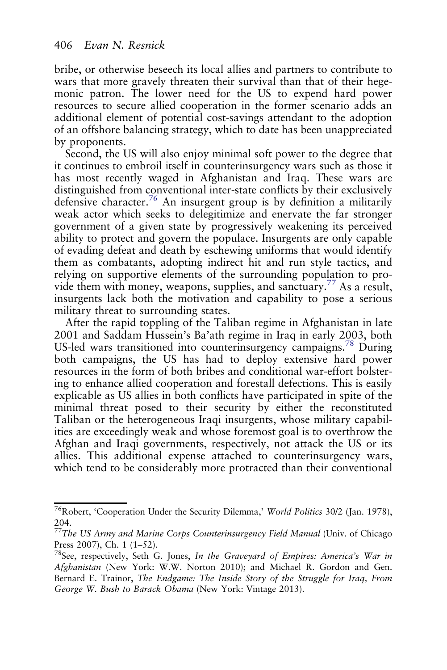bribe, or otherwise beseech its local allies and partners to contribute to wars that more gravely threaten their survival than that of their hegemonic patron. The lower need for the US to expend hard power resources to secure allied cooperation in the former scenario adds an additional element of potential cost-savings attendant to the adoption of an offshore balancing strategy, which to date has been unappreciated by proponents.

Second, the US will also enjoy minimal soft power to the degree that it continues to embroil itself in counterinsurgency wars such as those it has most recently waged in Afghanistan and Iraq. These wars are distinguished from conventional inter-state conflicts by their exclusively defensive character.<sup>76</sup> An insurgent group is by definition a militarily weak actor which seeks to delegitimize and enervate the far stronger government of a given state by progressively weakening its perceived ability to protect and govern the populace. Insurgents are only capable of evading defeat and death by eschewing uniforms that would identify them as combatants, adopting indirect hit and run style tactics, and relying on supportive elements of the surrounding population to provide them with money, weapons, supplies, and sanctuary.<sup>77</sup> As a result, insurgents lack both the motivation and capability to pose a serious military threat to surrounding states.

After the rapid toppling of the Taliban regime in Afghanistan in late 2001 and Saddam Hussein's Ba'ath regime in Iraq in early 2003, both US-led wars transitioned into counterinsurgency campaigns.<sup>78</sup> During both campaigns, the US has had to deploy extensive hard power resources in the form of both bribes and conditional war-effort bolstering to enhance allied cooperation and forestall defections. This is easily explicable as US allies in both conflicts have participated in spite of the minimal threat posed to their security by either the reconstituted Taliban or the heterogeneous Iraqi insurgents, whose military capabilities are exceedingly weak and whose foremost goal is to overthrow the Afghan and Iraqi governments, respectively, not attack the US or its allies. This additional expense attached to counterinsurgency wars, which tend to be considerably more protracted than their conventional

<sup>76</sup>Robert, 'Cooperation Under the Security Dilemma,' World Politics 30/2 (Jan. 1978), 204.

<sup>&</sup>lt;sup>77</sup>The US Army and Marine Corps Counterinsurgency Field Manual (Univ. of Chicago

<sup>&</sup>lt;sup>78</sup>See, respectively, Seth G. Jones, In the Graveyard of Empires: America's War in Afghanistan (New York: W.W. Norton 2010); and Michael R. Gordon and Gen. Bernard E. Trainor, The Endgame: The Inside Story of the Struggle for Iraq, From George W. Bush to Barack Obama (New York: Vintage 2013).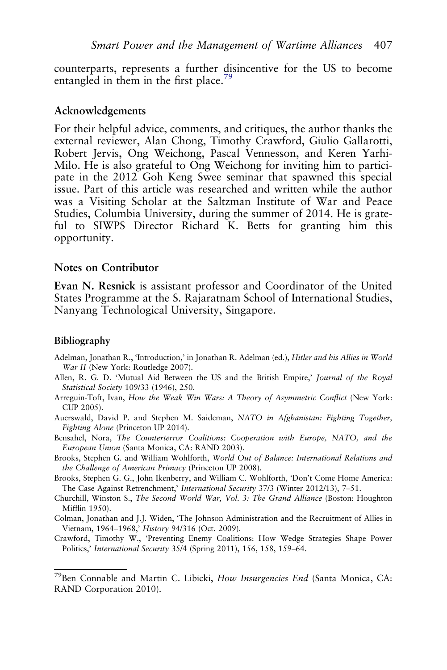counterparts, represents a further disincentive for the US to become entangled in them in the first place.<sup>79</sup>

#### Acknowledgements

For their helpful advice, comments, and critiques, the author thanks the external reviewer, Alan Chong, Timothy Crawford, Giulio Gallarotti, Robert Jervis, Ong Weichong, Pascal Vennesson, and Keren Yarhi-Milo. He is also grateful to Ong Weichong for inviting him to participate in the 2012 Goh Keng Swee seminar that spawned this special issue. Part of this article was researched and written while the author was a Visiting Scholar at the Saltzman Institute of War and Peace Studies, Columbia University, during the summer of 2014. He is grateful to SIWPS Director Richard K. Betts for granting him this opportunity.

#### Notes on Contributor

Evan N. Resnick is assistant professor and Coordinator of the United States Programme at the S. Rajaratnam School of International Studies, Nanyang Technological University, Singapore.

#### Bibliography

- Adelman, Jonathan R., 'Introduction,' in Jonathan R. Adelman (ed.), Hitler and his Allies in World War II (New York: Routledge 2007).
- Allen, R. G. D. 'Mutual Aid Between the US and the British Empire,' Journal of the Royal Statistical Society 109/33 (1946), 250.
- Arreguin-Toft, Ivan, How the Weak Win Wars: A Theory of Asymmetric Conflict (New York: CUP 2005).
- Auerswald, David P. and Stephen M. Saideman, NATO in Afghanistan: Fighting Together, Fighting Alone (Princeton UP 2014).
- Bensahel, Nora, The Counterterror Coalitions: Cooperation with Europe, NATO, and the European Union (Santa Monica, CA: RAND 2003).
- Brooks, Stephen G. and William Wohlforth, World Out of Balance: International Relations and the Challenge of American Primacy (Princeton UP 2008).
- Brooks, Stephen G. G., John Ikenberry, and William C. Wohlforth, 'Don't Come Home America: The Case Against Retrenchment,' International Security 37/3 (Winter 2012/13), 7–51.
- Churchill, Winston S., The Second World War, Vol. 3: The Grand Alliance (Boston: Houghton Mifflin 1950).
- Colman, Jonathan and J.J. Widen, 'The Johnson Administration and the Recruitment of Allies in Vietnam, 1964–1968,' History 94/316 (Oct. 2009).
- Crawford, Timothy W., 'Preventing Enemy Coalitions: How Wedge Strategies Shape Power Politics,' International Security 35/4 (Spring 2011), 156, 158, 159–64.

<sup>79</sup>Ben Connable and Martin C. Libicki, How Insurgencies End (Santa Monica, CA: RAND Corporation 2010).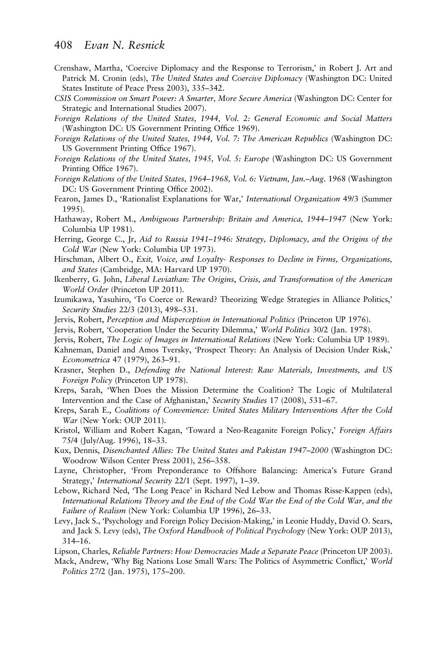#### 408 Evan N. Resnick

- Crenshaw, Martha, 'Coercive Diplomacy and the Response to Terrorism,' in Robert J. Art and Patrick M. Cronin (eds), The United States and Coercive Diplomacy (Washington DC: United States Institute of Peace Press 2003), 335–342.
- CSIS Commission on Smart Power: A Smarter, More Secure America (Washington DC: Center for Strategic and International Studies 2007).
- Foreign Relations of the United States, 1944, Vol. 2: General Economic and Social Matters (Washington DC: US Government Printing Office 1969).
- Foreign Relations of the United States, 1944, Vol. 7: The American Republics (Washington DC: US Government Printing Office 1967).
- Foreign Relations of the United States, 1945, Vol. 5: Europe (Washington DC: US Government Printing Office 1967).
- Foreign Relations of the United States, 1964–1968, Vol. 6: Vietnam, Jan.–Aug. 1968 (Washington DC: US Government Printing Office 2002).
- Fearon, James D., 'Rationalist Explanations for War,' *International Organization* 49/3 (Summer 1995).
- Hathaway, Robert M., Ambiguous Partnership: Britain and America, 1944–1947 (New York: Columbia UP 1981).
- Herring, George C., Jr, Aid to Russia 1941–1946: Strategy, Diplomacy, and the Origins of the Cold War (New York: Columbia UP 1973).
- Hirschman, Albert O., Exit, Voice, and Loyalty- Responses to Decline in Firms, Organizations, and States (Cambridge, MA: Harvard UP 1970).
- Ikenberry, G. John, Liberal Leviathan: The Origins, Crisis, and Transformation of the American World Order (Princeton UP 2011).
- Izumikawa, Yasuhiro, 'To Coerce or Reward? Theorizing Wedge Strategies in Alliance Politics,' Security Studies 22/3 (2013), 498–531.
- Jervis, Robert, Perception and Misperception in International Politics (Princeton UP 1976).
- Jervis, Robert, 'Cooperation Under the Security Dilemma,' World Politics 30/2 (Jan. 1978).
- Jervis, Robert, The Logic of Images in International Relations (New York: Columbia UP 1989).
- Kahneman, Daniel and Amos Tversky, 'Prospect Theory: An Analysis of Decision Under Risk,' Econometrica 47 (1979), 263–91.
- Krasner, Stephen D., Defending the National Interest: Raw Materials, Investments, and US Foreign Policy (Princeton UP 1978).
- Kreps, Sarah, 'When Does the Mission Determine the Coalition? The Logic of Multilateral Intervention and the Case of Afghanistan,' Security Studies 17 (2008), 531–67.
- Kreps, Sarah E., Coalitions of Convenience: United States Military Interventions After the Cold War (New York: OUP 2011).
- Kristol, William and Robert Kagan, 'Toward a Neo-Reaganite Foreign Policy,' Foreign Affairs 75/4 (July/Aug. 1996), 18–33.
- Kux, Dennis, Disenchanted Allies: The United States and Pakistan 1947–2000 (Washington DC: Woodrow Wilson Center Press 2001), 256–358.
- Layne, Christopher, 'From Preponderance to Offshore Balancing: America's Future Grand Strategy,' International Security 22/1 (Sept. 1997), 1–39.
- Lebow, Richard Ned, 'The Long Peace' in Richard Ned Lebow and Thomas Risse-Kappen (eds), International Relations Theory and the End of the Cold War the End of the Cold War, and the Failure of Realism (New York: Columbia UP 1996), 26–33.
- Levy, Jack S., 'Psychology and Foreign Policy Decision-Making,' in Leonie Huddy, David O. Sears, and Jack S. Levy (eds), The Oxford Handbook of Political Psychology (New York: OUP 2013), 314–16.
- Lipson, Charles, Reliable Partners: How Democracies Made a Separate Peace (Princeton UP 2003).
- Mack, Andrew, 'Why Big Nations Lose Small Wars: The Politics of Asymmetric Conflict,' World Politics 27/2 (Jan. 1975), 175–200.